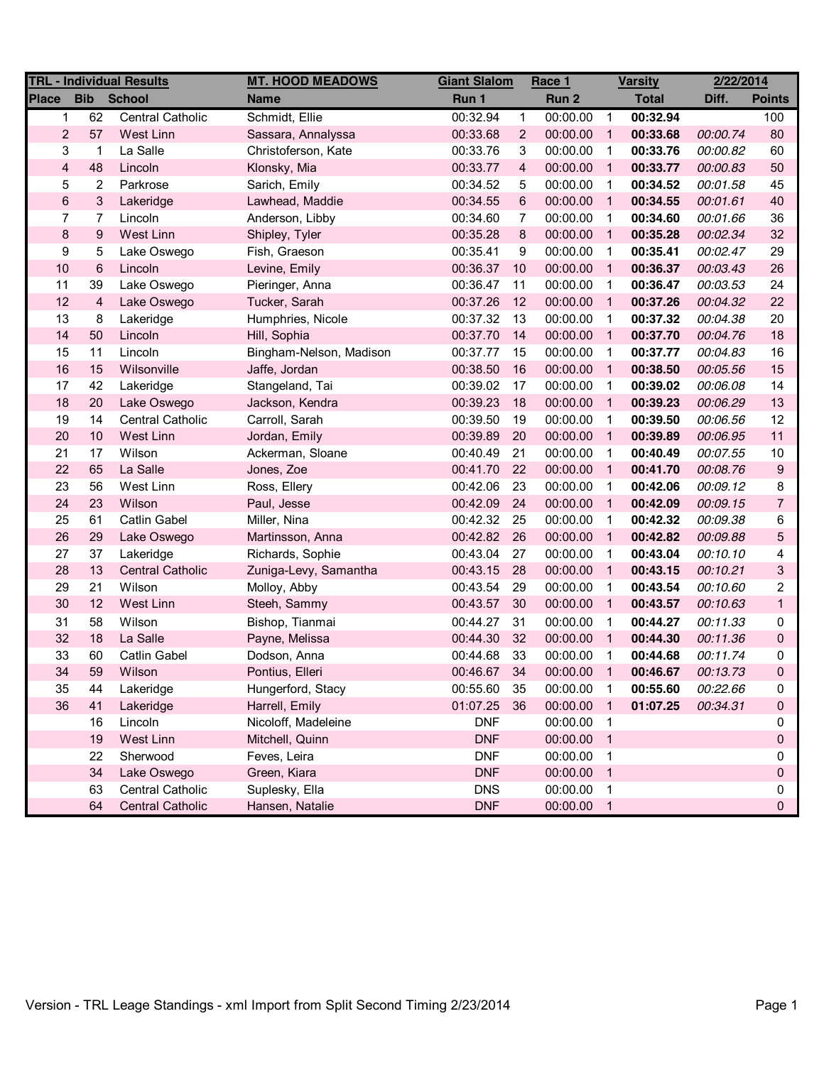| <b>TRL - Individual Results</b> |                             |                         | <b>MT. HOOD MEADOWS</b> | <b>Giant Slalom</b> |                | Race 1   | <b>Varsity</b>             |          | 2/22/2014 |                |
|---------------------------------|-----------------------------|-------------------------|-------------------------|---------------------|----------------|----------|----------------------------|----------|-----------|----------------|
| <b>Place</b>                    | <b>Bib</b><br><b>School</b> |                         | <b>Name</b>             | Run 1               |                | Run 2    | <b>Total</b>               |          | Diff.     | <b>Points</b>  |
| 1                               | 62                          | <b>Central Catholic</b> | Schmidt, Ellie          | 00:32.94            | $\mathbf{1}$   | 00:00.00 | $\overline{1}$             | 00:32.94 |           | 100            |
| $\overline{2}$                  | 57                          | West Linn               | Sassara, Annalyssa      | 00:33.68            | $\overline{2}$ | 00:00.00 | $\overline{1}$             | 00:33.68 | 00:00.74  | 80             |
| 3                               | $\mathbf{1}$                | La Salle                | Christoferson, Kate     | 00:33.76            | 3              | 00:00.00 | $\overline{1}$             | 00:33.76 | 00:00.82  | 60             |
| $\overline{\mathbf{4}}$         | 48                          | Lincoln                 | Klonsky, Mia            | 00:33.77            | 4              | 00:00.00 | $\overline{1}$             | 00:33.77 | 00:00.83  | 50             |
| 5                               | 2                           | Parkrose                | Sarich, Emily           | 00:34.52            | 5              | 00:00.00 | -1                         | 00:34.52 | 00:01.58  | 45             |
| $\,6$                           | $\ensuremath{\mathsf{3}}$   | Lakeridge               | Lawhead, Maddie         | 00:34.55            | $\,6$          | 00:00.00 | -1                         | 00:34.55 | 00:01.61  | 40             |
| 7                               | 7                           | Lincoln                 | Anderson, Libby         | 00:34.60            | 7              | 00:00.00 | $\overline{1}$             | 00:34.60 | 00:01.66  | 36             |
| 8                               | $\boldsymbol{9}$            | <b>West Linn</b>        | Shipley, Tyler          | 00:35.28            | 8              | 00:00.00 | -1                         | 00:35.28 | 00:02.34  | 32             |
| 9                               | 5                           | Lake Oswego             | Fish, Graeson           | 00:35.41            | 9              | 00:00.00 | $\overline{\mathbf{1}}$    | 00:35.41 | 00:02.47  | 29             |
| 10                              | 6                           | Lincoln                 | Levine, Emily           | 00:36.37            | 10             | 00:00.00 | $\overline{1}$             | 00:36.37 | 00:03.43  | 26             |
| 11                              | 39                          | Lake Oswego             | Pieringer, Anna         | 00:36.47            | 11             | 00:00.00 | -1                         | 00:36.47 | 00:03.53  | 24             |
| 12                              | $\overline{\mathbf{4}}$     | Lake Oswego             | Tucker, Sarah           | 00:37.26            | 12             | 00:00.00 | $\overline{1}$             | 00:37.26 | 00:04.32  | 22             |
| 13                              | 8                           | Lakeridge               | Humphries, Nicole       | 00:37.32            | 13             | 00:00.00 | $\overline{1}$             | 00:37.32 | 00:04.38  | 20             |
| 14                              | 50                          | Lincoln                 | Hill, Sophia            | 00:37.70            | 14             | 00:00.00 | $\overline{1}$             | 00:37.70 | 00:04.76  | 18             |
| 15                              | 11                          | Lincoln                 | Bingham-Nelson, Madison | 00:37.77            | 15             | 00:00.00 | $\overline{1}$             | 00:37.77 | 00:04.83  | 16             |
| 16                              | 15                          | Wilsonville             | Jaffe, Jordan           | 00:38.50            | 16             | 00:00.00 | $\overline{1}$             | 00:38.50 | 00:05.56  | 15             |
| 17                              | 42                          | Lakeridge               | Stangeland, Tai         | 00:39.02            | 17             | 00:00.00 | $\overline{1}$             | 00:39.02 | 00:06.08  | 14             |
| 18                              | 20                          | Lake Oswego             | Jackson, Kendra         | 00:39.23            | 18             | 00:00.00 | $\overline{1}$             | 00:39.23 | 00:06.29  | 13             |
| 19                              | 14                          | <b>Central Catholic</b> | Carroll, Sarah          | 00:39.50            | 19             | 00:00.00 | $\overline{1}$             | 00:39.50 | 00:06.56  | 12             |
| 20                              | 10                          | West Linn               | Jordan, Emily           | 00:39.89            | 20             | 00:00.00 | $\overline{1}$             | 00:39.89 | 00:06.95  | 11             |
| 21                              | 17                          | Wilson                  | Ackerman, Sloane        | 00:40.49            | 21             | 00:00.00 | $\overline{1}$             | 00:40.49 | 00:07.55  | 10             |
| 22                              | 65                          | La Salle                | Jones, Zoe              | 00:41.70            | 22             | 00:00.00 | -1                         | 00:41.70 | 00:08.76  | 9              |
| 23                              | 56                          | West Linn               | Ross, Ellery            | 00:42.06            | 23             | 00:00.00 | -1                         | 00:42.06 | 00:09.12  | 8              |
| 24                              | 23                          | Wilson                  | Paul, Jesse             | 00:42.09            | 24             | 00:00.00 | $\overline{1}$             | 00:42.09 | 00:09.15  | $\overline{7}$ |
| 25                              | 61                          | <b>Catlin Gabel</b>     | Miller, Nina            | 00:42.32            | 25             | 00:00.00 | $\overline{1}$             | 00:42.32 | 00:09.38  | 6              |
| 26                              | 29                          | Lake Oswego             | Martinsson, Anna        | 00:42.82            | 26             | 00:00.00 | $\overline{1}$             | 00:42.82 | 00:09.88  | 5              |
| 27                              | 37                          | Lakeridge               | Richards, Sophie        | 00:43.04            | 27             | 00:00.00 | $\overline{1}$             | 00:43.04 | 00:10.10  | 4              |
| 28                              | 13                          | <b>Central Catholic</b> | Zuniga-Levy, Samantha   | 00:43.15            | 28             | 00:00.00 | $\overline{1}$             | 00:43.15 | 00:10.21  | 3              |
| 29                              | 21                          | Wilson                  | Molloy, Abby            | 00:43.54            | 29             | 00:00.00 | -1                         | 00:43.54 | 00:10.60  | 2              |
| 30                              | 12                          | West Linn               | Steeh, Sammy            | 00:43.57            | 30             | 00:00.00 | $\overline{1}$             | 00:43.57 | 00:10.63  | $\mathbf{1}$   |
| 31                              | 58                          | Wilson                  | Bishop, Tianmai         | 00:44.27            | 31             | 00:00.00 | -1                         | 00:44.27 | 00:11.33  | 0              |
| 32                              | 18                          | La Salle                | Payne, Melissa          | 00:44.30            | 32             | 00:00.00 | $\overline{1}$             | 00:44.30 | 00:11.36  | 0              |
| 33                              | 60                          | Catlin Gabel            | Dodson, Anna            | 00:44.68            | 33             | 00:00.00 | $\overline{1}$             | 00:44.68 | 00:11.74  | 0              |
| 34                              | 59                          | Wilson                  | Pontius, Elleri         | 00:46.67            | 34             | 00:00.00 | $\mathbf{1}$               | 00:46.67 | 00:13.73  | 0              |
| 35                              | 44                          | Lakeridge               | Hungerford, Stacy       | 00:55.60            | 35             | 00:00.00 | $\overline{\mathbf{1}}$    | 00:55.60 | 00:22.66  | 0              |
| 36                              | 41                          | Lakeridge               | Harrell, Emily          | 01:07.25            | 36             | 00:00.00 | -1                         | 01:07.25 | 00:34.31  | 0              |
|                                 | 16                          | Lincoln                 | Nicoloff, Madeleine     | <b>DNF</b>          |                | 00:00.00 | $\overline{\mathbf{1}}$    |          |           | 0              |
|                                 | 19                          | West Linn               | Mitchell, Quinn         | <b>DNF</b>          |                | 00:00.00 | $\overline{\phantom{0}}$ 1 |          |           | 0              |
|                                 | 22                          | Sherwood                | Feves, Leira            | <b>DNF</b>          |                | 00:00.00 | $\overline{\mathbf{1}}$    |          |           | 0              |
|                                 | 34                          | Lake Oswego             | Green, Kiara            | <b>DNF</b>          |                | 00:00.00 | $\overline{\phantom{1}}$   |          |           | 0              |
|                                 | 63                          | <b>Central Catholic</b> | Suplesky, Ella          | <b>DNS</b>          |                | 00:00.00 | $\overline{\mathbf{1}}$    |          |           | 0              |
|                                 | 64                          | <b>Central Catholic</b> | Hansen, Natalie         | <b>DNF</b>          |                | 00:00.00 | $\overline{\phantom{1}}$   |          |           | 0              |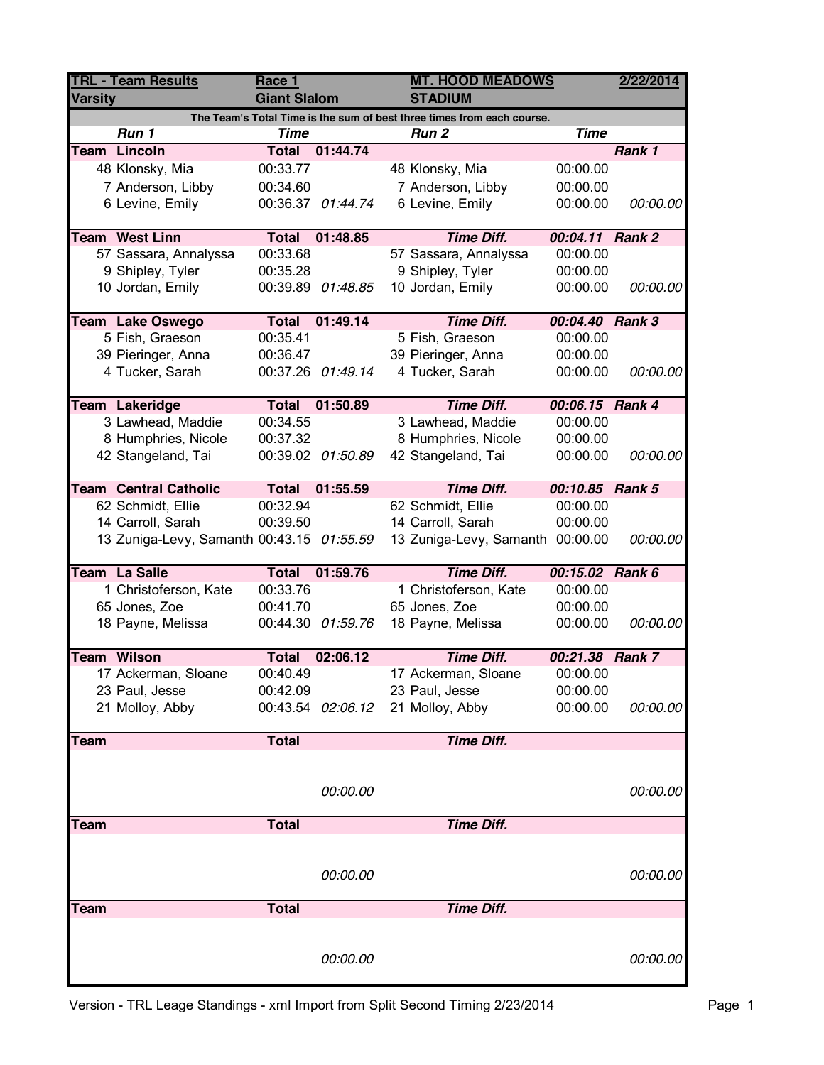| <b>Varsity</b><br><b>Giant Slalom</b><br><b>STADIUM</b><br>The Team's Total Time is the sum of best three times from each course.<br>Run 1<br><b>Time</b><br>Run <sub>2</sub><br><b>Team Lincoln</b><br>Total 01:44.74<br>48 Klonsky, Mia<br>00:33.77<br>48 Klonsky, Mia<br>00:00.00<br>7 Anderson, Libby<br>00:34.60<br>7 Anderson, Libby<br>6 Levine, Emily<br>00:36.37 01:44.74<br>6 Levine, Emily<br><b>Team West Linn</b><br><b>Total</b><br>01:48.85<br><b>Time Diff.</b> | <b>Time</b><br>Rank 1       |
|---------------------------------------------------------------------------------------------------------------------------------------------------------------------------------------------------------------------------------------------------------------------------------------------------------------------------------------------------------------------------------------------------------------------------------------------------------------------------------|-----------------------------|
|                                                                                                                                                                                                                                                                                                                                                                                                                                                                                 |                             |
|                                                                                                                                                                                                                                                                                                                                                                                                                                                                                 |                             |
|                                                                                                                                                                                                                                                                                                                                                                                                                                                                                 |                             |
|                                                                                                                                                                                                                                                                                                                                                                                                                                                                                 |                             |
|                                                                                                                                                                                                                                                                                                                                                                                                                                                                                 | 00:00.00                    |
|                                                                                                                                                                                                                                                                                                                                                                                                                                                                                 | 00:00.00<br>00:00.00        |
|                                                                                                                                                                                                                                                                                                                                                                                                                                                                                 |                             |
| 00:33.68<br>57 Sassara, Annalyssa<br>57 Sassara, Annalyssa                                                                                                                                                                                                                                                                                                                                                                                                                      | 00:04.11 Rank 2<br>00:00.00 |
| 9 Shipley, Tyler<br>00:35.28<br>9 Shipley, Tyler                                                                                                                                                                                                                                                                                                                                                                                                                                | 00:00.00                    |
| 10 Jordan, Emily<br>10 Jordan, Emily<br>00:39.89 01:48.85                                                                                                                                                                                                                                                                                                                                                                                                                       | 00:00.00<br>00:00.00        |
|                                                                                                                                                                                                                                                                                                                                                                                                                                                                                 |                             |
| <b>Total</b><br>01:49.14<br><b>Time Diff.</b><br>Team Lake Oswego                                                                                                                                                                                                                                                                                                                                                                                                               | 00:04.40 Rank 3             |
| 5 Fish, Graeson<br>00:35.41<br>5 Fish, Graeson                                                                                                                                                                                                                                                                                                                                                                                                                                  | 00:00.00                    |
| 39 Pieringer, Anna<br>00:36.47<br>39 Pieringer, Anna                                                                                                                                                                                                                                                                                                                                                                                                                            | 00:00.00                    |
| 4 Tucker, Sarah<br>00:37.26 01:49.14<br>4 Tucker, Sarah                                                                                                                                                                                                                                                                                                                                                                                                                         | 00:00.00<br>00:00.00        |
|                                                                                                                                                                                                                                                                                                                                                                                                                                                                                 |                             |
| <b>Time Diff.</b><br>Team Lakeridge<br><b>Total</b><br>01:50.89                                                                                                                                                                                                                                                                                                                                                                                                                 | 00:06.15 Rank 4             |
| 3 Lawhead, Maddie<br>00:34.55<br>3 Lawhead, Maddie                                                                                                                                                                                                                                                                                                                                                                                                                              | 00:00.00                    |
| 8 Humphries, Nicole<br>00:37.32<br>8 Humphries, Nicole                                                                                                                                                                                                                                                                                                                                                                                                                          | 00:00.00                    |
| 42 Stangeland, Tai<br>00:39.02 01:50.89<br>42 Stangeland, Tai                                                                                                                                                                                                                                                                                                                                                                                                                   | 00:00.00<br>00:00.00        |
| <b>Time Diff.</b><br><b>Team Central Catholic</b><br><b>Total</b><br>01:55.59                                                                                                                                                                                                                                                                                                                                                                                                   | 00:10.85 Rank 5             |
| 00:32.94<br>62 Schmidt, Ellie<br>62 Schmidt, Ellie                                                                                                                                                                                                                                                                                                                                                                                                                              | 00:00.00                    |
| 14 Carroll, Sarah<br>00:39.50<br>14 Carroll, Sarah                                                                                                                                                                                                                                                                                                                                                                                                                              | 00:00.00                    |
| 13 Zuniga-Levy, Samanth 00:43.15 01:55.59<br>13 Zuniga-Levy, Samanth<br>00:00.00                                                                                                                                                                                                                                                                                                                                                                                                | 00:00.00                    |
| <b>Total</b><br>01:59.76<br><b>Time Diff.</b><br>Team La Salle                                                                                                                                                                                                                                                                                                                                                                                                                  | 00:15.02 Rank 6             |
| 00:33.76<br>1 Christoferson, Kate<br>1 Christoferson, Kate                                                                                                                                                                                                                                                                                                                                                                                                                      | 00:00.00                    |
| 65 Jones, Zoe<br>00:41.70<br>65 Jones, Zoe                                                                                                                                                                                                                                                                                                                                                                                                                                      | 00:00.00                    |
| 18 Payne, Melissa<br>00:44.30 01:59.76<br>18 Payne, Melissa                                                                                                                                                                                                                                                                                                                                                                                                                     | 00:00.00<br>00:00.00        |
|                                                                                                                                                                                                                                                                                                                                                                                                                                                                                 |                             |
| <b>Team Wilson</b><br><b>Total</b><br><b>Time Diff.</b><br>02:06.12                                                                                                                                                                                                                                                                                                                                                                                                             | 00:21.38 Rank 7             |
| 17 Ackerman, Sloane<br>00:40.49<br>17 Ackerman, Sloane                                                                                                                                                                                                                                                                                                                                                                                                                          | 00:00.00                    |
| 00:42.09<br>23 Paul, Jesse<br>23 Paul, Jesse                                                                                                                                                                                                                                                                                                                                                                                                                                    | 00:00.00                    |
| 21 Molloy, Abby<br>00:43.54 02:06.12<br>21 Molloy, Abby                                                                                                                                                                                                                                                                                                                                                                                                                         | 00:00.00<br>00:00.00        |
| <b>Total</b><br><b>Time Diff.</b><br>Team                                                                                                                                                                                                                                                                                                                                                                                                                                       |                             |
|                                                                                                                                                                                                                                                                                                                                                                                                                                                                                 |                             |
|                                                                                                                                                                                                                                                                                                                                                                                                                                                                                 |                             |
| 00:00.00                                                                                                                                                                                                                                                                                                                                                                                                                                                                        | 00:00.00                    |
| <b>Total</b><br><b>Time Diff.</b><br><b>Team</b>                                                                                                                                                                                                                                                                                                                                                                                                                                |                             |
|                                                                                                                                                                                                                                                                                                                                                                                                                                                                                 |                             |
|                                                                                                                                                                                                                                                                                                                                                                                                                                                                                 |                             |
| 00:00.00                                                                                                                                                                                                                                                                                                                                                                                                                                                                        | 00:00.00                    |
|                                                                                                                                                                                                                                                                                                                                                                                                                                                                                 |                             |
| <b>Time Diff.</b><br>Team                                                                                                                                                                                                                                                                                                                                                                                                                                                       |                             |
| <b>Total</b>                                                                                                                                                                                                                                                                                                                                                                                                                                                                    |                             |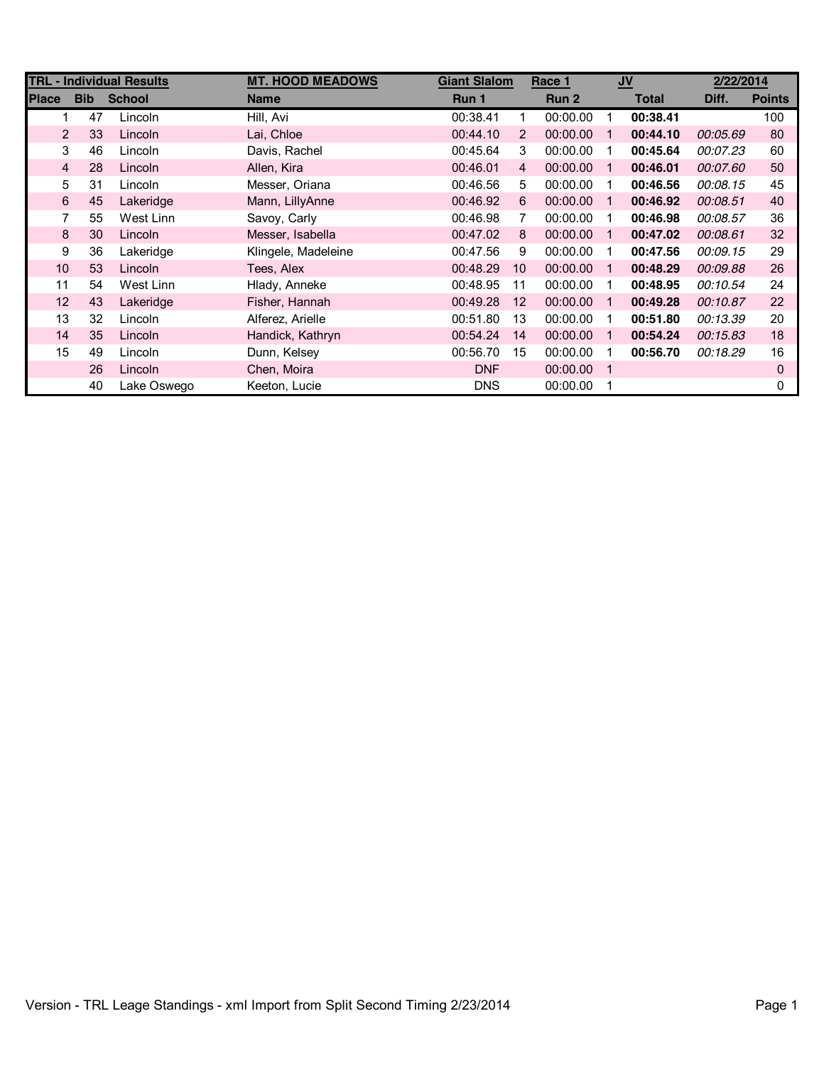| <b>TRL - Individual Results</b> |            |               | <b>MT. HOOD MEADOWS</b> |            | <b>Giant Slalom</b><br>Race 1 |          | $u$            |              | 2/22/2014 |               |
|---------------------------------|------------|---------------|-------------------------|------------|-------------------------------|----------|----------------|--------------|-----------|---------------|
| <b>Place</b>                    | <b>Bib</b> | <b>School</b> | <b>Name</b>             | Run 1      |                               | Run 2    |                | <b>Total</b> | Diff.     | <b>Points</b> |
|                                 | 47         | Lincoln       | Hill, Avi               | 00:38.41   | 1                             | 00:00.00 | 1              | 00:38.41     |           | 100           |
| 2                               | 33         | Lincoln       | Lai, Chloe              | 00:44.10   | 2                             | 00:00.00 | $\mathbf 1$    | 00:44.10     | 00:05.69  | 80            |
| 3                               | 46         | Lincoln       | Davis, Rachel           | 00:45.64   | 3                             | 00:00.00 | 1              | 00:45.64     | 00:07.23  | 60            |
| $\overline{4}$                  | 28         | Lincoln       | Allen, Kira             | 00:46.01   | 4                             | 00:00.00 | 1              | 00:46.01     | 00:07.60  | 50            |
| 5                               | 31         | Lincoln       | Messer, Oriana          | 00:46.56   | 5                             | 00:00.00 | -1             | 00:46.56     | 00:08.15  | 45            |
| 6                               | 45         | Lakeridge     | Mann, LillyAnne         | 00:46.92   | 6                             | 00:00.00 | $\mathbf{1}$   | 00:46.92     | 00:08.51  | 40            |
| 7                               | 55         | West Linn     | Savoy, Carly            | 00:46.98   | 7                             | 00:00.00 | 1              | 00:46.98     | 00:08.57  | 36            |
| 8                               | 30         | Lincoln       | Messer, Isabella        | 00:47.02   | 8                             | 00:00.00 | $\mathbf 1$    | 00:47.02     | 00:08.61  | 32            |
| 9                               | 36         | Lakeridge     | Klingele, Madeleine     | 00:47.56   | 9                             | 00:00.00 | 1              | 00:47.56     | 00:09.15  | 29            |
| 10                              | 53         | Lincoln       | Tees, Alex              | 00:48.29   | 10                            | 00:00.00 | $\mathbf 1$    | 00:48.29     | 00:09.88  | 26            |
| 11                              | 54         | West Linn     | Hlady, Anneke           | 00:48.95   | 11                            | 00:00.00 | -1             | 00:48.95     | 00:10.54  | 24            |
| 12                              | 43         | Lakeridge     | Fisher, Hannah          | 00:49.28   | 12                            | 00:00.00 | $\mathbf 1$    | 00:49.28     | 00:10.87  | 22            |
| 13                              | 32         | Lincoln       | Alferez, Arielle        | 00:51.80   | 13                            | 00:00.00 | 1              | 00:51.80     | 00:13.39  | 20            |
| 14                              | 35         | Lincoln       | Handick, Kathryn        | 00:54.24   | 14                            | 00:00.00 | -1             | 00:54.24     | 00:15.83  | 18            |
| 15                              | 49         | Lincoln       | Dunn, Kelsey            | 00:56.70   | 15                            | 00:00.00 | 1              | 00:56.70     | 00:18.29  | 16            |
|                                 | 26         | Lincoln       | Chen, Moira             | <b>DNF</b> |                               | 00:00.00 | $\overline{1}$ |              |           | 0             |
|                                 | 40         | Lake Oswego   | Keeton, Lucie           | <b>DNS</b> |                               | 00:00.00 |                |              |           | 0             |